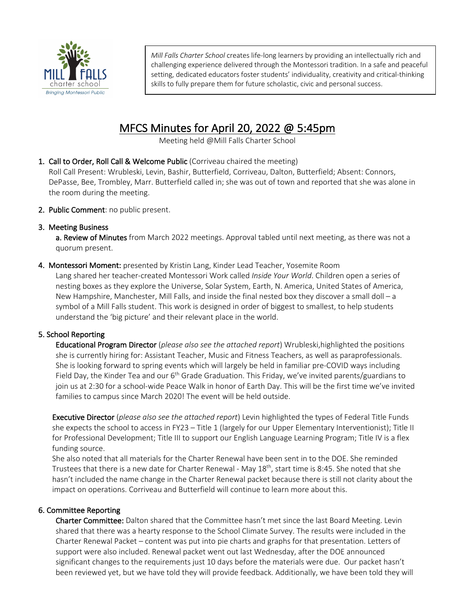

*Mill Falls Charter School* creates life-long learners by providing an intellectually rich and challenging experience delivered through the Montessori tradition. In a safe and peaceful setting, dedicated educators foster students' individuality, creativity and critical-thinking skills to fully prepare them for future scholastic, civic and personal success.

# MFCS Minutes for April 20, 2022 @ 5:45pm<br>Meeting held @Mill Falls Charter School

1. Call to Order, Roll Call & Welcome Public (Corriveau chaired the meeting)

Roll Call Present: Wrubleski, Levin, Bashir, Butterfield, Corriveau, Dalton, Butterfield; Absent: Connors, DePasse, Bee, Trombley, Marr. Butterfield called in; she was out of town and reported that she was alone in the room during the meeting.

2. Public Comment: no public present.

## 3. Meeting Business

a. Review of Minutes from March 2022 meetings. Approval tabled until next meeting, as there was not a quorum present.

4. Montessori Moment: presented by Kristin Lang, Kinder Lead Teacher, Yosemite Room Lang shared her teacher-created Montessori Work called *Inside Your World*. Children open a series of nesting boxes as they explore the Universe, Solar System, Earth, N. America, United States of America, New Hampshire, Manchester, Mill Falls, and inside the final nested box they discover a small doll – a symbol of a Mill Falls student. This work is designed in order of biggest to smallest, to help students understand the 'big picture' and their relevant place in the world.

# 5. School Reporting

 Educational Program Director (*please also see the attached report*) Wrubleski,highlighted the positions she is currently hiring for: Assistant Teacher, Music and Fitness Teachers, as well as paraprofessionals. She is looking forward to spring events which will largely be held in familiar pre-COVID ways including Field Day, the Kinder Tea and our 6<sup>th</sup> Grade Graduation. This Friday, we've invited parents/guardians to join us at 2:30 for a school-wide Peace Walk in honor of Earth Day. This will be the first time we've invited families to campus since March 2020! The event will be held outside.

Executive Director (*please also see the attached report*) Levin highlighted the types of Federal Title Funds she expects the school to access in FY23 – Title 1 (largely for our Upper Elementary Interventionist); Title II for Professional Development; Title III to support our English Language Learning Program; Title IV is a flex funding source.

She also noted that all materials for the Charter Renewal have been sent in to the DOE. She reminded Trustees that there is a new date for Charter Renewal - May 18<sup>th</sup>, start time is 8:45. She noted that she hasn't included the name change in the Charter Renewal packet because there is still not clarity about the impact on operations. Corriveau and Butterfield will continue to learn more about this.

## 6. Committee Reporting

Charter Committee: Dalton shared that the Committee hasn't met since the last Board Meeting. Levin shared that there was a hearty response to the School Climate Survey. The results were included in the Charter Renewal Packet – content was put into pie charts and graphs for that presentation. Letters of support were also included. Renewal packet went out last Wednesday, after the DOE announced significant changes to the requirements just 10 days before the materials were due. Our packet hasn't been reviewed yet, but we have told they will provide feedback. Additionally, we have been told they will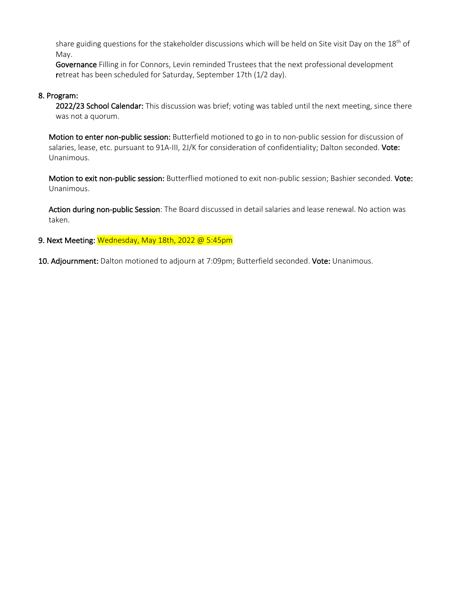share guiding questions for the stakeholder discussions which will be held on Site visit Day on the 18<sup>th</sup> of May.

Governance Filling in for Connors, Levin reminded Trustees that the next professional development retreat has been scheduled for Saturday, September 17th (1/2 day).

## 8. Program:

2022/23 School Calendar: This discussion was brief; voting was tabled until the next meeting, since there was not a quorum.

Motion to enter non-public session: Butterfield motioned to go in to non-public session for discussion of salaries, lease, etc. pursuant to 91A-III, 2J/K for consideration of confidentiality; Dalton seconded. Vote: Unanimous.

Motion to exit non-public session: Butterflied motioned to exit non-public session; Bashier seconded. Vote: Unanimous.

Action during non-public Session: The Board discussed in detail salaries and lease renewal. No action was taken.

## 9. Next Meeting: Wednesday, May 18th, 2022 @ 5:45pm

10. Adjournment: Dalton motioned to adjourn at 7:09pm; Butterfield seconded. Vote: Unanimous.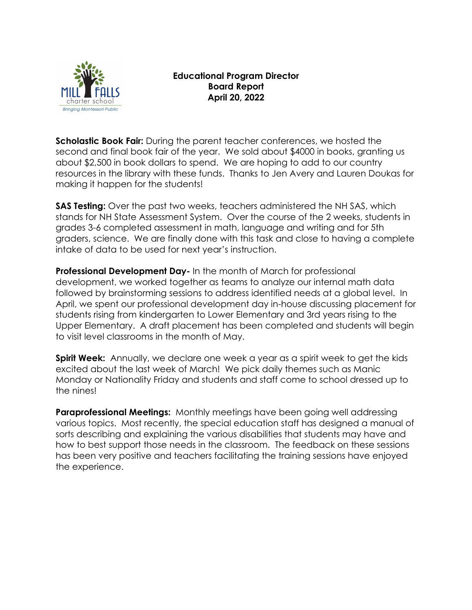

# **Educational Program Director Board Report April 20, 2022**

**Scholastic Book Fair:** During the parent teacher conferences, we hosted the second and final book fair of the year. We sold about \$4000 in books, granting us about \$2,500 in book dollars to spend. We are hoping to add to our country resources in the library with these funds. Thanks to Jen Avery and Lauren Doukas for making it happen for the students!

**SAS Testing:** Over the past two weeks, teachers administered the NH SAS, which stands for NH State Assessment System. Over the course of the 2 weeks, students in grades 3-6 completed assessment in math, language and writing and for 5th graders, science. We are finally done with this task and close to having a complete intake of data to be used for next year's instruction.

**Professional Development Day-** In the month of March for professional development, we worked together as teams to analyze our internal math data followed by brainstorming sessions to address identified needs at a global level. In April, we spent our professional development day in-house discussing placement for students rising from kindergarten to Lower Elementary and 3rd years rising to the Upper Elementary. A draft placement has been completed and students will begin to visit level classrooms in the month of May.

**Spirit Week:** Annually, we declare one week a year as a spirit week to get the kids excited about the last week of March! We pick daily themes such as Manic Monday or Nationality Friday and students and staff come to school dressed up to the nines!

**Paraprofessional Meetings:** Monthly meetings have been going well addressing various topics. Most recently, the special education staff has designed a manual of sorts describing and explaining the various disabilities that students may have and how to best support those needs in the classroom. The feedback on these sessions has been very positive and teachers facilitating the training sessions have enjoyed the experience.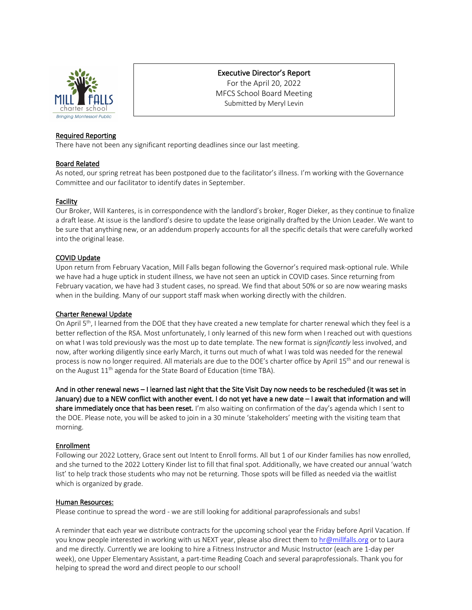

## Executive Director's Report

For the April 20, 2022 MFCS School Board Meeting Submitted by Meryl Levin

### Required Reporting

There have not been any significant reporting deadlines since our last meeting.

#### Board Related

As noted, our spring retreat has been postponed due to the facilitator's illness. I'm working with the Governance Committee and our facilitator to identify dates in September.

#### Facility

Our Broker, Will Kanteres, is in correspondence with the landlord's broker, Roger Dieker, as they continue to finalize a draft lease. At issue is the landlord's desire to update the lease originally drafted by the Union Leader. We want to be sure that anything new, or an addendum properly accounts for all the specific details that were carefully worked into the original lease.

#### COVID Update

Upon return from February Vacation, Mill Falls began following the Governor's required mask-optional rule. While we have had a huge uptick in student illness, we have not seen an uptick in COVID cases. Since returning from February vacation, we have had 3 student cases, no spread. We find that about 50% or so are now wearing masks when in the building. Many of our support staff mask when working directly with the children.

#### Charter Renewal Update

On April 5<sup>th</sup>, I learned from the DOE that they have created a new template for charter renewal which they feel is a better reflection of the RSA. Most unfortunately, I only learned of this new form when I reached out with questions on what I was told previously was the most up to date template. The new format is *significantly* less involved, and now, after working diligently since early March, it turns out much of what I was told was needed for the renewal process is now no longer required. All materials are due to the DOE's charter office by April 15th and our renewal is on the August  $11<sup>th</sup>$  agenda for the State Board of Education (time TBA).

And in other renewal news – I learned last night that the Site Visit Day now needs to be rescheduled (it was set in January) due to a NEW conflict with another event. I do not yet have a new date – I await that information and will share immediately once that has been reset. I'm also waiting on confirmation of the day's agenda which I sent to the DOE. Please note, you will be asked to join in a 30 minute 'stakeholders' meeting with the visiting team that morning.

#### Enrollment

Following our 2022 Lottery, Grace sent out Intent to Enroll forms. All but 1 of our Kinder families has now enrolled, and she turned to the 2022 Lottery Kinder list to fill that final spot. Additionally, we have created our annual 'watch list' to help track those students who may not be returning. Those spots will be filled as needed via the waitlist which is organized by grade.

#### Human Resources:

Please continue to spread the word - we are still looking for additional paraprofessionals and subs!

A reminder that each year we distribute contracts for the upcoming school year the Friday before April Vacation. If you know people interested in working with us NEXT year, please also direct them to hr@millfalls.org or to Laura and me directly. Currently we are looking to hire a Fitness Instructor and Music Instructor (each are 1-day per week), one Upper Elementary Assistant, a part-time Reading Coach and several paraprofessionals. Thank you for helping to spread the word and direct people to our school!